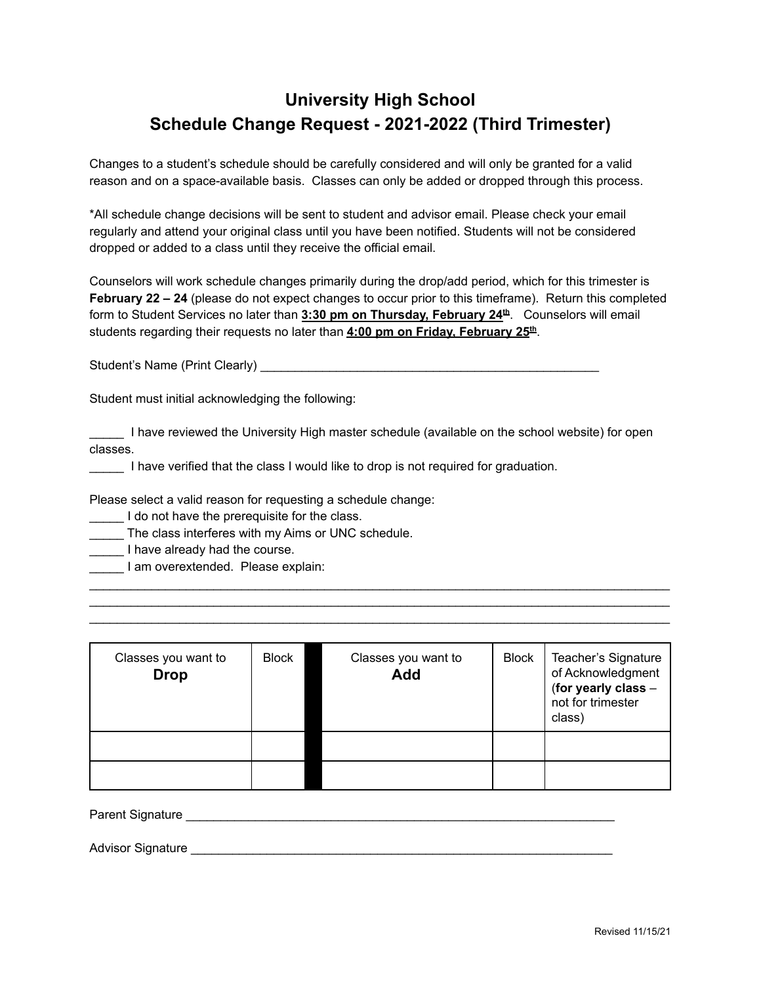## **University High School Schedule Change Request - 2021-2022 (Third Trimester)**

Changes to a student's schedule should be carefully considered and will only be granted for a valid reason and on a space-available basis. Classes can only be added or dropped through this process.

\*All schedule change decisions will be sent to student and advisor email. Please check your email regularly and attend your original class until you have been notified. Students will not be considered dropped or added to a class until they receive the official email.

Counselors will work schedule changes primarily during the drop/add period, which for this trimester is **February 22 – 24** (please do not expect changes to occur prior to this timeframe). Return this completed form to Student Services no later than **3:30 pm on Thursday, February 24th**. Counselors will email students regarding their requests no later than **4:00 pm on Friday, February 25th** .

Student's Name (Print Clearly) \_\_\_\_\_\_\_\_\_\_\_\_\_\_\_\_\_\_\_\_\_\_\_\_\_\_\_\_\_\_\_\_\_\_\_\_\_\_\_\_\_\_\_\_\_\_\_\_\_

Student must initial acknowledging the following:

I have reviewed the University High master schedule (available on the school website) for open classes.

I have verified that the class I would like to drop is not required for graduation.

Please select a valid reason for requesting a schedule change:

I do not have the prerequisite for the class.

The class interferes with my Aims or UNC schedule.

**I** have already had the course.

\_\_\_\_\_ I am overextended. Please explain:

| Classes you want to<br><b>Drop</b> | <b>Block</b> | Classes you want to<br>Add | <b>Block</b> | Teacher's Signature<br>of Acknowledgment<br>(for yearly class -<br>not for trimester<br>class) |
|------------------------------------|--------------|----------------------------|--------------|------------------------------------------------------------------------------------------------|
|                                    |              |                            |              |                                                                                                |
|                                    |              |                            |              |                                                                                                |

 $\mathcal{L}_\mathcal{L}$  , and the contribution of the contribution of the contribution of the contribution of the contribution of the contribution of the contribution of the contribution of the contribution of the contribution of  $\mathcal{L}_\mathcal{L} = \{ \mathcal{L}_\mathcal{L} = \{ \mathcal{L}_\mathcal{L} = \{ \mathcal{L}_\mathcal{L} = \{ \mathcal{L}_\mathcal{L} = \{ \mathcal{L}_\mathcal{L} = \{ \mathcal{L}_\mathcal{L} = \{ \mathcal{L}_\mathcal{L} = \{ \mathcal{L}_\mathcal{L} = \{ \mathcal{L}_\mathcal{L} = \{ \mathcal{L}_\mathcal{L} = \{ \mathcal{L}_\mathcal{L} = \{ \mathcal{L}_\mathcal{L} = \{ \mathcal{L}_\mathcal{L} = \{ \mathcal{L}_\mathcal{$  $\mathcal{L}_\mathcal{L}$  , and the contribution of the contribution of the contribution of the contribution of the contribution of the contribution of the contribution of the contribution of the contribution of the contribution of

Parent Signature **Example 20** and 20 and 20 and 20 and 20 and 20 and 20 and 20 and 20 and 20 and 20 and 20 and 20 and 20 and 20 and 20 and 20 and 20 and 20 and 20 and 20 and 20 and 20 and 20 and 20 and 20 and 20 and 20 and

Advisor Signature **Advisor** Signature **Advisor** Signature **Advisor** Signature **Advisor** Signature **Advisor Advisor** Signature **Advisor Advisor Advisor Advisor Advisor Advisor Advisor Advisor Advisor Adv**